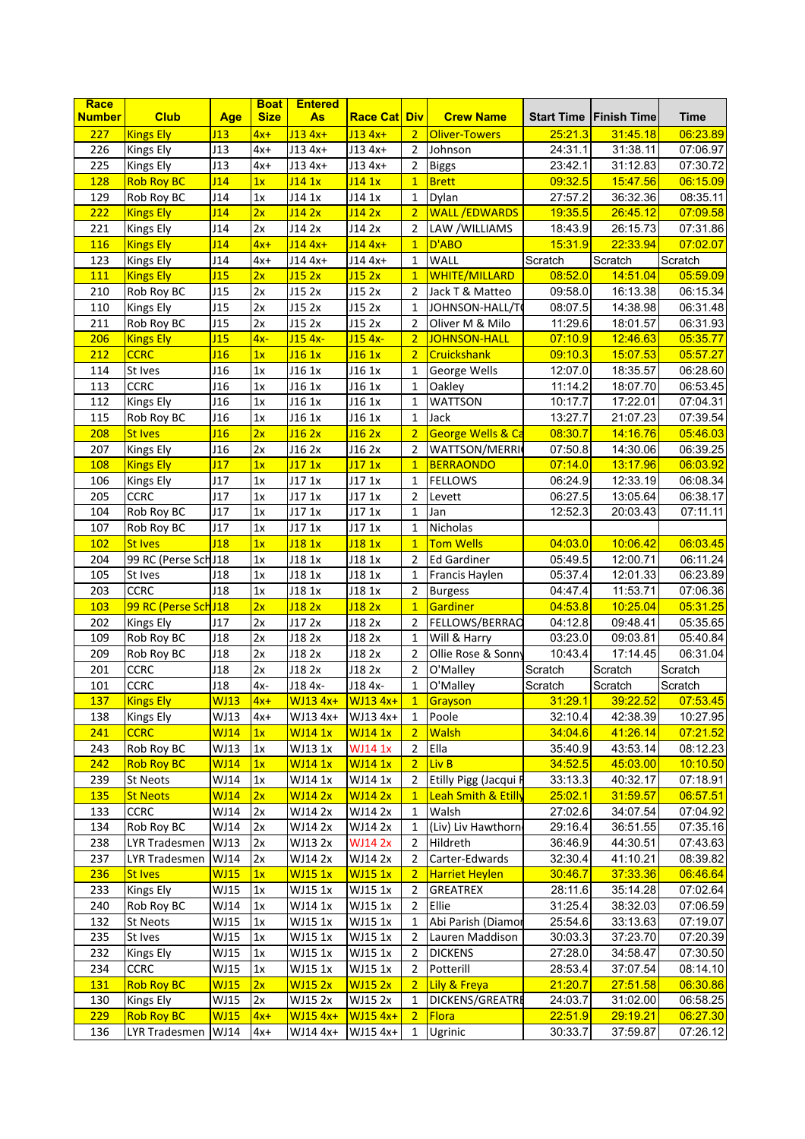| Race          |                      |                 | <b>Boat</b> | <b>Entered</b> |                      |                |                                |         |                                 |          |
|---------------|----------------------|-----------------|-------------|----------------|----------------------|----------------|--------------------------------|---------|---------------------------------|----------|
| <b>Number</b> | <b>Club</b>          | Age             | <b>Size</b> | As             | <b>Race Catl Div</b> |                | <b>Crew Name</b>               |         | <b>Start Time   Finish Time</b> | Time     |
| 227           | <b>Kings Ely</b>     | J13             | $4x+$       | $J134x+$       | J <sub>13</sub> 4x+  | $\overline{2}$ | <b>Oliver-Towers</b>           | 25:21.3 | 31:45.18                        | 06:23.89 |
| 226           | Kings Ely            | J13             | $4x+$       | $J134x+$       | J13 4x+              | $\overline{2}$ | Johnson                        | 24.31.1 | 31:38.11                        | 07:06.97 |
| 225           | <b>Kings Ely</b>     | J13             | $4x+$       | $J134x+$       | $J134x+$             | $\overline{2}$ | <b>Biggs</b>                   | 23.42.1 | 31:12.83                        | 07:30.72 |
| 128           | <b>Rob Roy BC</b>    | J14             | 1x          | $J14$ 1x       | J141x                | 1              | <b>Brett</b>                   | 09:32.5 | 15:47.56                        | 06:15.09 |
| 129           | Rob Roy BC           | J14             | 1x          | J14 1x         | J14 1x               | $\mathbf{1}$   | Dylan                          | 27.57.2 | 36:32.36                        | 08:35.11 |
| 222           | <b>Kings Ely</b>     | J14             | 2x          | J142x          | J142x                | 2 <sup>1</sup> | <b>WALL /EDWARDS</b>           | 19.35.5 | 26:45.12                        | 07:09.58 |
| 221           | <b>Kings Ely</b>     | J14             | 2x          | J14 2x         | J14 2x               | $\overline{2}$ | LAW /WILLIAMS                  | 18:43.9 | 26:15.73                        | 07:31.86 |
| 116           | <b>Kings Ely</b>     | J14             | $4x+$       | $J14$ 4x+      | $J14$ 4x+            | $\mathbf{1}$   | D'ABO                          | 15.31.9 | 22:33.94                        | 07:02.07 |
| 123           | Kings Ely            | J14             | 4x+         | $J14 4x+$      | $J14 4x+$            | $\mathbf{1}$   | <b>WALL</b>                    | Scratch | Scratch                         | Scratch  |
| 111           | <b>Kings Ely</b>     | J15             | 2x          | J152x          | J152x                | $\mathbf{1}$   | <b>WHITE/MILLARD</b>           | 08:52.0 | 14:51.04                        | 05:59.09 |
| 210           | Rob Roy BC           | U15             | 2x          | J15 2x         | J15 2x               | $\overline{2}$ | Jack T & Matteo                | 09:58.0 | 16:13.38                        | 06:15.34 |
| 110           | Kings Ely            | J <sub>15</sub> | 2x          | J152x          | J15 2x               | $\mathbf{1}$   | JOHNSON-HALL/T                 | 08.07.5 | 14:38.98                        | 06:31.48 |
| 211           | Rob Roy BC           | J <sub>15</sub> | 2x          | J15 2x         | J15 2x               | $\overline{2}$ | Oliver M & Milo                | 11:29.6 | 18:01.57                        | 06:31.93 |
| 206           | <b>Kings Ely</b>     | J15             | $4x-$       | J15 4x-        | $J15$ 4x-            | 2 <sup>1</sup> | JOHNSON-HALL                   | 07:10.9 | 12:46.63                        | 05:35.77 |
|               | <b>CCRC</b>          | J16             |             |                |                      |                |                                |         | 15:07.53                        |          |
| 212           |                      |                 | 1x          | J161x          | J161x                | $\overline{2}$ | <b>Cruickshank</b>             | 09:10.3 |                                 | 05:57.27 |
| 114           | St Ives              | J <sub>16</sub> | 1x          | J16 1x         | J16 1x               | $\mathbf{1}$   | George Wells                   | 12:07.0 | 18:35.57                        | 06:28.60 |
| 113           | <b>CCRC</b>          | J16             | 1x          | J16 1x         | J16 1x               | $\mathbf{1}$   | Oakley                         | 11:14.2 | 18:07.70                        | 06:53.45 |
| 112           | Kings Ely            | J16             | 1x          | J16 1x         | J16 1x               | $\mathbf{1}$   | <b>WATTSON</b>                 | 10:17.7 | 17:22.01                        | 07:04.31 |
| 115           | Rob Roy BC           | J <sub>16</sub> | 1x          | J16 1x         | J16 1x               | $\mathbf{1}$   | Jack                           | 13:27.7 | 21:07.23                        | 07:39.54 |
| 208           | <b>St Ives</b>       | J16             | 2x          | J162x          | J162x                | $\overline{2}$ | George Wells & Ca              | 08:30.7 | 14:16.76                        | 05:46.03 |
| 207           | <b>Kings Ely</b>     | J <sub>16</sub> | 2x          | J16 2x         | J16 2x               | $\overline{2}$ | WATTSON/MERRI                  | 07:50.8 | 14:30.06                        | 06:39.25 |
| <b>108</b>    | <b>Kings Ely</b>     | J17             | 1x          | J171x          | J171x                | 1              | <b>BERRAONDO</b>               | 07.14.0 | 13:17.96                        | 06:03.92 |
| 106           | Kings Ely            | J17             | 1x          | J17 1x         | J17 1x               | $\mathbf{1}$   | <b>FELLOWS</b>                 | 06:24.9 | 12:33.19                        | 06:08.34 |
| 205           | <b>CCRC</b>          | J17             | 1x          | J17 1x         | J17 1x               | $\overline{2}$ | Levett                         | 06:27.5 | 13:05.64                        | 06:38.17 |
| 104           | Rob Roy BC           | J17             | 1x          | J171x          | J17 1x               | $\mathbf{1}$   | Jan                            | 12:52.3 | 20:03.43                        | 07:11.11 |
| 107           | Rob Roy BC           | J17             | 1x          | J171x          | J17 1x               | $\mathbf{1}$   | Nicholas                       |         |                                 |          |
| 102           | <b>St Ives</b>       | J18             | 1x          | J181x          | J181x                | $\mathbf{1}$   | <b>Tom Wells</b>               | 04:03.0 | 10:06.42                        | 06:03.45 |
| 204           | 99 RC (Perse Sch J18 |                 | 1x          | J18 1x         | J18 1x               | $\overline{2}$ | Ed Gardiner                    | 05:49.5 | 12:00.71                        | 06:11.24 |
| 105           | St Ives              | J <sub>18</sub> | 1x          | J181x          | J18 1x               | $\mathbf{1}$   | Francis Haylen                 | 05:37.4 | 12:01.33                        | 06:23.89 |
| 203           | <b>CCRC</b>          | J <sub>18</sub> | 1x          | J18 1x         | J18 1x               | $\overline{2}$ | <b>Burgess</b>                 | 04:47.4 | 11:53.71                        | 07:06.36 |
| 103           | 99 RC (Perse Sch J18 |                 | 2x          | J182x          | J182x                | 1              | Gardiner                       | 04:53.8 | 10:25.04                        | 05:31.25 |
| 202           | <b>Kings Ely</b>     | J17             | 2x          | J17 2x         | J18 2x               | $\overline{2}$ | FELLOWS/BERRAO                 | 04:12.8 | 09:48.41                        | 05:35.65 |
| 109           | Rob Roy BC           | J18             | 2x          | J18 2x         | J18 2x               | $\mathbf{1}$   | Will & Harry                   | 03.23.0 | 09:03.81                        | 05:40.84 |
| 209           | Rob Roy BC           | J18             | 2x          | J18 2x         | J18 2x               | $\overline{2}$ | Ollie Rose & Sonny             | 10:43.4 | 17:14.45                        | 06:31.04 |
| 201           | <b>CCRC</b>          | J18             | 2x          | J18 2x         | J18 2x               | $\overline{2}$ | O'Malley                       | Scratch | Scratch                         | Scratch  |
| 101           | <b>CCRC</b>          | J18             | $4x-$       | J18 4x-        | J18 4x-              | $\mathbf{1}$   | O'Malley                       | Scratch | Scratch                         | Scratch  |
| <b>137</b>    | <b>Kings Ely</b>     | WJ13            | $4x+$       | WJ13 4x+       | $ W$ J13 4x+         | $\boxed{1}$    | Grayson                        | 31:29.1 | 39:22.52                        | 07:53.45 |
| 138           | Kings Ely            | WJ13            | $4x+$       | WJ13 4x+       | WJ13 4x+             | 1              | Poole                          | 32:10.4 | 42:38.39                        | 10:27.95 |
| 241           | <b>CCRC</b>          | <b>WJ14</b>     | 1x          | <b>WJ14 1x</b> | <b>WJ14 1x</b>       | 2 <sup>1</sup> | <b>Walsh</b>                   | 34.04.6 | 41:26.14                        | 07:21.52 |
| 243           | Rob Roy BC           | WJ13            | 1x          | WJ13 1x        | <b>WJ14 1x</b>       | $\overline{2}$ | Ella                           | 35:40.9 | 43:53.14                        | 08:12.23 |
| 242           | <b>Rob Roy BC</b>    | WJ14            | 1x          | <b>WJ14 1x</b> | <b>WJ14 1x</b>       | 2 <sup>1</sup> | Liv B                          | 34.52.5 | 45:03.00                        |          |
|               | <b>St Neots</b>      |                 |             |                |                      |                |                                |         | 40:32.17                        | 10:10.50 |
| 239           |                      | WJ14            | 1x          | WJ14 1x        | WJ14 1x              | 2              | Etilly Pigg (Jacqui F          | 33:13.3 |                                 | 07:18.91 |
| <b>135</b>    | <b>St Neots</b>      | <b>WJ14</b>     | 2x          | <b>WJ14 2x</b> | <b>WJ14 2x</b>       | $\mathbf{1}$   | <b>Leah Smith &amp; Etilly</b> | 25.02.1 | 31:59.57                        | 06:57.51 |
| 133           | <b>CCRC</b>          | WJ14            | 2x          | WJ14 2x        | WJ14 2x              | $\mathbf{1}$   | Walsh                          | 27:02.6 | 34:07.54                        | 07:04.92 |
| 134           | Rob Roy BC           | WJ14            | 2x          | WJ14 2x        | WJ14 2x              | $\mathbf{1}$   | (Liv) Liv Hawthorn             | 29:16.4 | 36:51.55                        | 07:35.16 |
| 238           | LYR Tradesmen        | WJ13            | 2x          | WJ13 2x        | <b>WJ14 2x</b>       | $\overline{2}$ | Hildreth                       | 36:46.9 | 44:30.51                        | 07:43.63 |
| 237           | LYR Tradesmen        | WJ14            | 2x          | WJ14 2x        | WJ14 2x              | $\overline{2}$ | Carter-Edwards                 | 32:30.4 | 41:10.21                        | 08:39.82 |
| 236           | <b>St Ives</b>       | <b>WJ15</b>     | 1x          | <b>WJ15 1x</b> | WJ15 1x              | 2 <sup>1</sup> | <b>Harriet Heylen</b>          | 30:46.7 | 37:33.36                        | 06:46.64 |
| 233           | Kings Ely            | WJ15            | 1x          | WJ15 1x        | WJ15 1x              | $\mathbf{2}$   | <b>GREATREX</b>                | 28:11.6 | 35:14.28                        | 07:02.64 |
| 240           | Rob Roy BC           | WJ14            | 1x          | WJ14 1x        | WJ15 1x              | $\overline{2}$ | Ellie                          | 31:25.4 | 38:32.03                        | 07:06.59 |
| 132           | <b>St Neots</b>      | WJ15            | 1x          | WJ15 1x        | WJ15 1x              | $\mathbf{1}$   | Abi Parish (Diamor             | 25:54.6 | 33:13.63                        | 07:19.07 |
| 235           | St Ives              | WJ15            | 1x          | WJ15 1x        | WJ15 1x              | $\overline{2}$ | Lauren Maddison                | 30:03.3 | 37:23.70                        | 07:20.39 |
| 232           | Kings Ely            | WJ15            | 1x          | WJ15 1x        | WJ15 1x              | $\overline{2}$ | <b>DICKENS</b>                 | 27:28.0 | 34:58.47                        | 07:30.50 |
| 234           | <b>CCRC</b>          | WJ15            | 1x          | WJ15 1x        | WJ15 1x              | $\overline{2}$ | Potterill                      | 28:53.4 | 37:07.54                        | 08:14.10 |
| 131           | <b>Rob Roy BC</b>    | <b>WJ15</b>     | 2x          | <b>WJ15 2x</b> | <b>WJ15 2x</b>       | 2 <sup>1</sup> | Lily & Freya                   | 21:20.7 | 27:51.58                        | 06:30.86 |
| 130           | <b>Kings Ely</b>     | WJ15            | 2x          | WJ15 2x        | WJ15 2x              | $\mathbf{1}$   | DICKENS/GREATRE                | 24:03.7 | 31:02.00                        | 06:58.25 |
| 229           | <b>Rob Roy BC</b>    | <b>WJ15</b>     | $4x+$       | WJ15 4x+       | WJ15 4x+             | 2 <sub>1</sub> | <b>Flora</b>                   | 22:51.9 | 29:19.21                        | 06:27.30 |
| 136           | LYR Tradesmen   WJ14 |                 | $4x+$       | WJ14 4x+       | WJ15 4x+             | $\mathbf{1}$   | Ugrinic                        | 30:33.7 | 37:59.87                        | 07:26.12 |